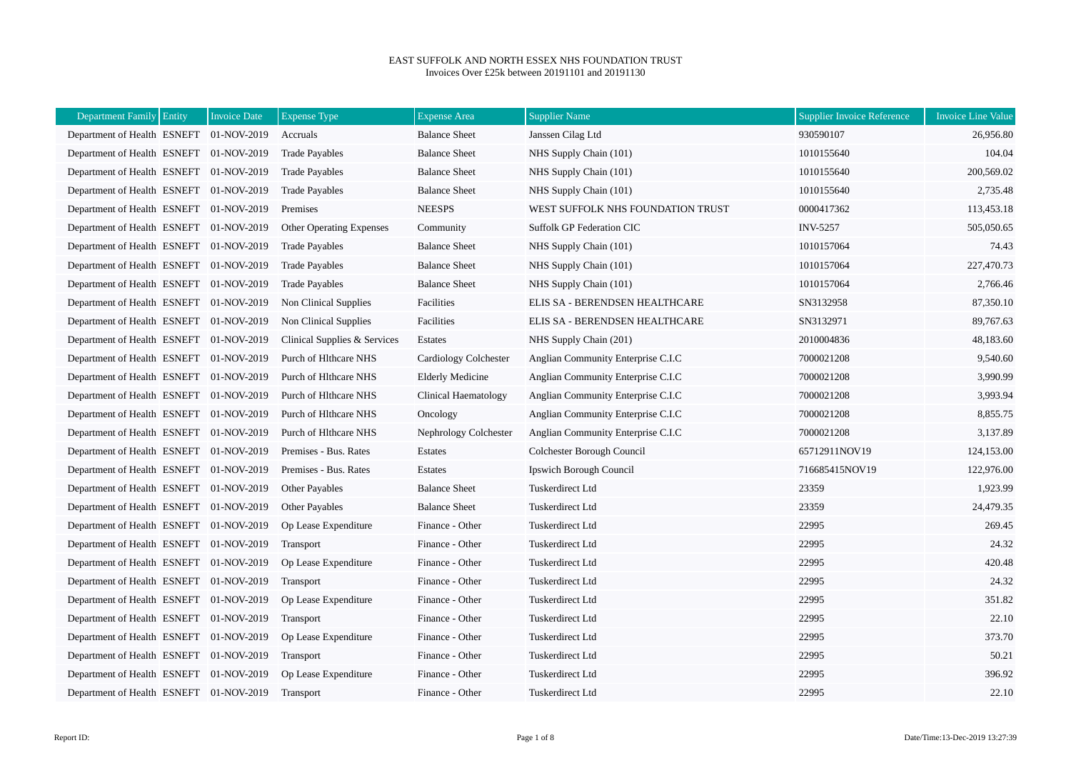## EAST SUFFOLK AND NORTH ESSEX NHS FOUNDATION TRUST Invoices Over £25k between 20191101 and 20191130

| Department Family   Entity              | <b>Invoice Date</b> | <b>Expense Type</b>             | <b>Expense Area</b>     | <b>Supplier Name</b>               | <b>Supplier Invoice Reference</b> | <b>Invoice Line Value</b> |
|-----------------------------------------|---------------------|---------------------------------|-------------------------|------------------------------------|-----------------------------------|---------------------------|
| Department of Health ESNEFT 01-NOV-2019 |                     | Accruals                        | <b>Balance Sheet</b>    | Janssen Cilag Ltd                  | 930590107                         | 26,956.80                 |
| Department of Health ESNEFT 01-NOV-2019 |                     | <b>Trade Payables</b>           | <b>Balance Sheet</b>    | NHS Supply Chain (101)             | 1010155640                        | 104.04                    |
| Department of Health ESNEFT 01-NOV-2019 |                     | <b>Trade Payables</b>           | <b>Balance Sheet</b>    | NHS Supply Chain (101)             | 1010155640                        | 200,569.02                |
| Department of Health ESNEFT 01-NOV-2019 |                     | <b>Trade Payables</b>           | <b>Balance Sheet</b>    | NHS Supply Chain (101)             | 1010155640                        | 2,735.48                  |
| Department of Health ESNEFT 01-NOV-2019 |                     | Premises                        | <b>NEESPS</b>           | WEST SUFFOLK NHS FOUNDATION TRUST  | 0000417362                        | 113,453.18                |
| Department of Health ESNEFT 01-NOV-2019 |                     | <b>Other Operating Expenses</b> | Community               | <b>Suffolk GP Federation CIC</b>   | <b>INV-5257</b>                   | 505,050.65                |
| Department of Health ESNEFT 01-NOV-2019 |                     | <b>Trade Payables</b>           | <b>Balance Sheet</b>    | NHS Supply Chain (101)             | 1010157064                        | 74.43                     |
| Department of Health ESNEFT 01-NOV-2019 |                     | <b>Trade Payables</b>           | <b>Balance Sheet</b>    | NHS Supply Chain (101)             | 1010157064                        | 227,470.73                |
| Department of Health ESNEFT 01-NOV-2019 |                     | <b>Trade Payables</b>           | <b>Balance Sheet</b>    | NHS Supply Chain (101)             | 1010157064                        | 2,766.46                  |
| Department of Health ESNEFT 01-NOV-2019 |                     | Non Clinical Supplies           | Facilities              | ELIS SA - BERENDSEN HEALTHCARE     | SN3132958                         | 87,350.10                 |
| Department of Health ESNEFT 01-NOV-2019 |                     | Non Clinical Supplies           | Facilities              | ELIS SA - BERENDSEN HEALTHCARE     | SN3132971                         | 89,767.63                 |
| Department of Health ESNEFT 01-NOV-2019 |                     | Clinical Supplies & Services    | Estates                 | NHS Supply Chain (201)             | 2010004836                        | 48,183.60                 |
| Department of Health ESNEFT 01-NOV-2019 |                     | Purch of Hithcare NHS           | Cardiology Colchester   | Anglian Community Enterprise C.I.C | 7000021208                        | 9,540.60                  |
| Department of Health ESNEFT 01-NOV-2019 |                     | Purch of Hlthcare NHS           | <b>Elderly Medicine</b> | Anglian Community Enterprise C.I.C | 7000021208                        | 3,990.99                  |
| Department of Health ESNEFT 01-NOV-2019 |                     | Purch of Hlthcare NHS           | Clinical Haematology    | Anglian Community Enterprise C.I.C | 7000021208                        | 3,993.94                  |
| Department of Health ESNEFT 01-NOV-2019 |                     | Purch of Hlthcare NHS           | Oncology                | Anglian Community Enterprise C.I.C | 7000021208                        | 8,855.75                  |
| Department of Health ESNEFT 01-NOV-2019 |                     | Purch of Hlthcare NHS           | Nephrology Colchester   | Anglian Community Enterprise C.I.C | 7000021208                        | 3,137.89                  |
| Department of Health ESNEFT 01-NOV-2019 |                     | Premises - Bus. Rates           | Estates                 | Colchester Borough Council         | 65712911NOV19                     | 124,153.00                |
| Department of Health ESNEFT 01-NOV-2019 |                     | Premises - Bus. Rates           | Estates                 | <b>Ipswich Borough Council</b>     | 716685415NOV19                    | 122,976.00                |
| Department of Health ESNEFT 01-NOV-2019 |                     | Other Payables                  | <b>Balance Sheet</b>    | Tuskerdirect Ltd                   | 23359                             | 1,923.99                  |
| Department of Health ESNEFT 01-NOV-2019 |                     | Other Payables                  | <b>Balance Sheet</b>    | Tuskerdirect Ltd                   | 23359                             | 24,479.35                 |
| Department of Health ESNEFT 01-NOV-2019 |                     | Op Lease Expenditure            | Finance - Other         | Tuskerdirect Ltd                   | 22995                             | 269.45                    |
| Department of Health ESNEFT 01-NOV-2019 |                     | Transport                       | Finance - Other         | Tuskerdirect Ltd                   | 22995                             | 24.32                     |
| Department of Health ESNEFT 01-NOV-2019 |                     | Op Lease Expenditure            | Finance - Other         | Tuskerdirect Ltd                   | 22995                             | 420.48                    |
| Department of Health ESNEFT 01-NOV-2019 |                     | Transport                       | Finance - Other         | Tuskerdirect Ltd                   | 22995                             | 24.32                     |
| Department of Health ESNEFT 01-NOV-2019 |                     | Op Lease Expenditure            | Finance - Other         | Tuskerdirect Ltd                   | 22995                             | 351.82                    |
| Department of Health ESNEFT 01-NOV-2019 |                     | Transport                       | Finance - Other         | Tuskerdirect Ltd                   | 22995                             | 22.10                     |
| Department of Health ESNEFT 01-NOV-2019 |                     | Op Lease Expenditure            | Finance - Other         | Tuskerdirect Ltd                   | 22995                             | 373.70                    |
| Department of Health ESNEFT 01-NOV-2019 |                     | Transport                       | Finance - Other         | Tuskerdirect Ltd                   | 22995                             | 50.21                     |
| Department of Health ESNEFT 01-NOV-2019 |                     | Op Lease Expenditure            | Finance - Other         | Tuskerdirect Ltd                   | 22995                             | 396.92                    |
| Department of Health ESNEFT 01-NOV-2019 |                     | Transport                       | Finance - Other         | Tuskerdirect Ltd                   | 22995                             | 22.10                     |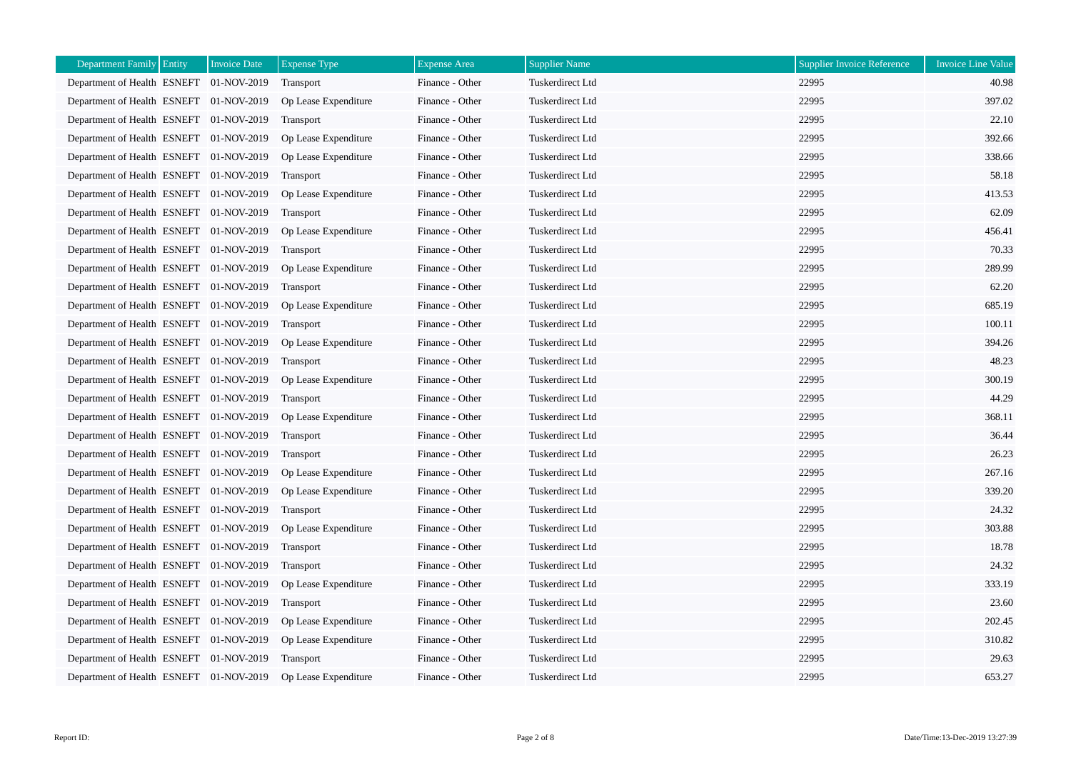| Department Family Entity                | <b>Invoice Date</b> | <b>Expense Type</b>  | <b>Expense Area</b> | <b>Supplier Name</b>    | <b>Supplier Invoice Reference</b> | <b>Invoice Line Value</b> |
|-----------------------------------------|---------------------|----------------------|---------------------|-------------------------|-----------------------------------|---------------------------|
| Department of Health ESNEFT 01-NOV-2019 |                     | Transport            | Finance - Other     | Tuskerdirect Ltd        | 22995                             | 40.98                     |
| Department of Health ESNEFT 01-NOV-2019 |                     | Op Lease Expenditure | Finance - Other     | Tuskerdirect Ltd        | 22995                             | 397.02                    |
| Department of Health ESNEFT 01-NOV-2019 |                     | Transport            | Finance - Other     | Tuskerdirect Ltd        | 22995                             | 22.10                     |
| Department of Health ESNEFT 01-NOV-2019 |                     | Op Lease Expenditure | Finance - Other     | Tuskerdirect Ltd        | 22995                             | 392.66                    |
| Department of Health ESNEFT 01-NOV-2019 |                     | Op Lease Expenditure | Finance - Other     | Tuskerdirect Ltd        | 22995                             | 338.66                    |
| Department of Health ESNEFT 01-NOV-2019 |                     | <b>Transport</b>     | Finance - Other     | Tuskerdirect Ltd        | 22995                             | 58.18                     |
| Department of Health ESNEFT 01-NOV-2019 |                     | Op Lease Expenditure | Finance - Other     | Tuskerdirect Ltd        | 22995                             | 413.53                    |
| Department of Health ESNEFT 01-NOV-2019 |                     | Transport            | Finance - Other     | Tuskerdirect Ltd        | 22995                             | 62.09                     |
| Department of Health ESNEFT 01-NOV-2019 |                     | Op Lease Expenditure | Finance - Other     | Tuskerdirect Ltd        | 22995                             | 456.41                    |
| Department of Health ESNEFT 01-NOV-2019 |                     | <b>Transport</b>     | Finance - Other     | Tuskerdirect Ltd        | 22995                             | 70.33                     |
| Department of Health ESNEFT 01-NOV-2019 |                     | Op Lease Expenditure | Finance - Other     | Tuskerdirect Ltd        | 22995                             | 289.99                    |
| Department of Health ESNEFT 01-NOV-2019 |                     | Transport            | Finance - Other     | Tuskerdirect Ltd        | 22995                             | 62.20                     |
| Department of Health ESNEFT 01-NOV-2019 |                     | Op Lease Expenditure | Finance - Other     | Tuskerdirect Ltd        | 22995                             | 685.19                    |
| Department of Health ESNEFT 01-NOV-2019 |                     | Transport            | Finance - Other     | Tuskerdirect Ltd        | 22995                             | 100.11                    |
| Department of Health ESNEFT 01-NOV-2019 |                     | Op Lease Expenditure | Finance - Other     | Tuskerdirect Ltd        | 22995                             | 394.26                    |
| Department of Health ESNEFT 01-NOV-2019 |                     | <b>Transport</b>     | Finance - Other     | Tuskerdirect Ltd        | 22995                             | 48.23                     |
| Department of Health ESNEFT 01-NOV-2019 |                     | Op Lease Expenditure | Finance - Other     | Tuskerdirect Ltd        | 22995                             | 300.19                    |
| Department of Health ESNEFT 01-NOV-2019 |                     | Transport            | Finance - Other     | Tuskerdirect Ltd        | 22995                             | 44.29                     |
| Department of Health ESNEFT 01-NOV-2019 |                     | Op Lease Expenditure | Finance - Other     | Tuskerdirect Ltd        | 22995                             | 368.11                    |
| Department of Health ESNEFT 01-NOV-2019 |                     | Transport            | Finance - Other     | Tuskerdirect Ltd        | 22995                             | 36.44                     |
| Department of Health ESNEFT 01-NOV-2019 |                     | Transport            | Finance - Other     | Tuskerdirect Ltd        | 22995                             | 26.23                     |
| Department of Health ESNEFT 01-NOV-2019 |                     | Op Lease Expenditure | Finance - Other     | Tuskerdirect Ltd        | 22995                             | 267.16                    |
| Department of Health ESNEFT 01-NOV-2019 |                     | Op Lease Expenditure | Finance - Other     | Tuskerdirect Ltd        | 22995                             | 339.20                    |
| Department of Health ESNEFT 01-NOV-2019 |                     | Transport            | Finance - Other     | Tuskerdirect Ltd        | 22995                             | 24.32                     |
| Department of Health ESNEFT 01-NOV-2019 |                     | Op Lease Expenditure | Finance - Other     | Tuskerdirect Ltd        | 22995                             | 303.88                    |
| Department of Health ESNEFT 01-NOV-2019 |                     | Transport            | Finance - Other     | Tuskerdirect Ltd        | 22995                             | 18.78                     |
| Department of Health ESNEFT 01-NOV-2019 |                     | Transport            | Finance - Other     | <b>Tuskerdirect Ltd</b> | 22995                             | 24.32                     |
| Department of Health ESNEFT 01-NOV-2019 |                     | Op Lease Expenditure | Finance - Other     | Tuskerdirect Ltd        | 22995                             | 333.19                    |
| Department of Health ESNEFT 01-NOV-2019 |                     | <b>Transport</b>     | Finance - Other     | Tuskerdirect Ltd        | 22995                             | 23.60                     |
| Department of Health ESNEFT 01-NOV-2019 |                     | Op Lease Expenditure | Finance - Other     | Tuskerdirect Ltd        | 22995                             | 202.45                    |
| Department of Health ESNEFT 01-NOV-2019 |                     | Op Lease Expenditure | Finance - Other     | Tuskerdirect Ltd        | 22995                             | 310.82                    |
| Department of Health ESNEFT 01-NOV-2019 |                     | Transport            | Finance - Other     | Tuskerdirect Ltd        | 22995                             | 29.63                     |
| Department of Health ESNEFT 01-NOV-2019 |                     | Op Lease Expenditure | Finance - Other     | Tuskerdirect Ltd        | 22995                             | 653.27                    |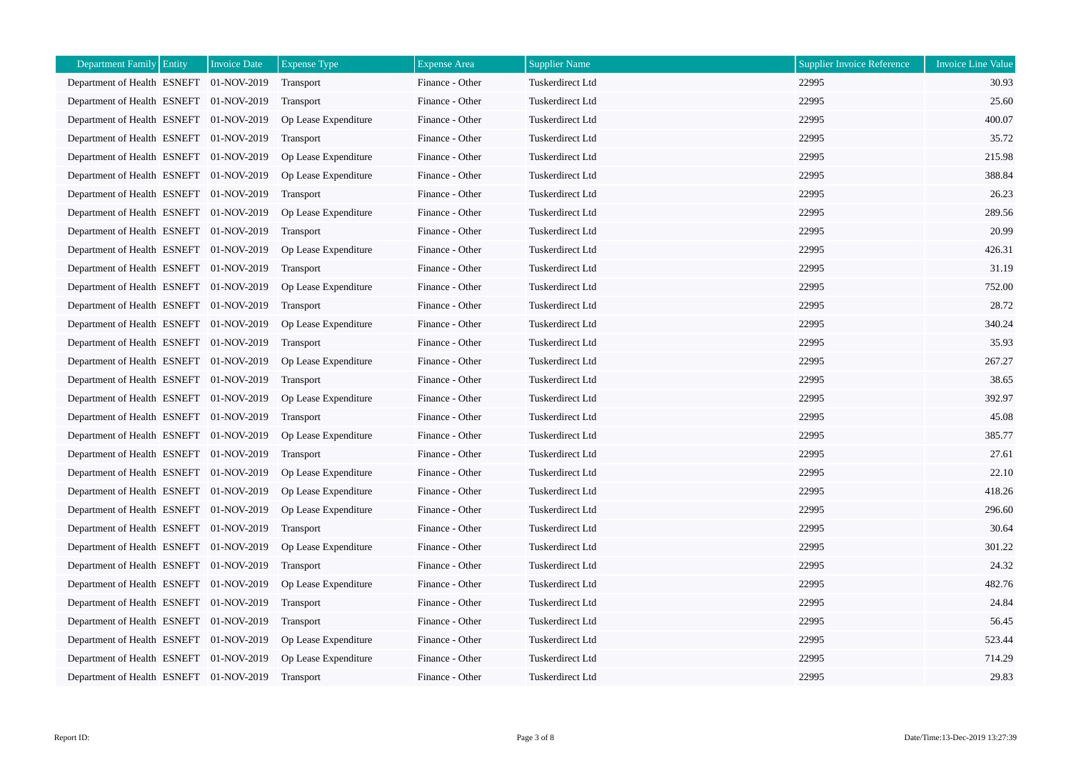| <b>Department Family Entity</b>         | <b>Invoice Date</b> | <b>Expense Type</b>  | <b>Expense</b> Area | <b>Supplier Name</b>    | <b>Supplier Invoice Reference</b> | <b>Invoice Line Value</b> |
|-----------------------------------------|---------------------|----------------------|---------------------|-------------------------|-----------------------------------|---------------------------|
| Department of Health ESNEFT 01-NOV-2019 |                     | Transport            | Finance - Other     | Tuskerdirect Ltd        | 22995                             | 30.93                     |
| Department of Health ESNEFT 01-NOV-2019 |                     | Transport            | Finance - Other     | Tuskerdirect Ltd        | 22995                             | 25.60                     |
| Department of Health ESNEFT 01-NOV-2019 |                     | Op Lease Expenditure | Finance - Other     | <b>Tuskerdirect Ltd</b> | 22995                             | 400.07                    |
| Department of Health ESNEFT 01-NOV-2019 |                     | <b>Transport</b>     | Finance - Other     | Tuskerdirect Ltd        | 22995                             | 35.72                     |
| Department of Health ESNEFT 01-NOV-2019 |                     | Op Lease Expenditure | Finance - Other     | Tuskerdirect Ltd        | 22995                             | 215.98                    |
| Department of Health ESNEFT 01-NOV-2019 |                     | Op Lease Expenditure | Finance - Other     | Tuskerdirect Ltd        | 22995                             | 388.84                    |
| Department of Health ESNEFT 01-NOV-2019 |                     | Transport            | Finance - Other     | Tuskerdirect Ltd        | 22995                             | 26.23                     |
| Department of Health ESNEFT 01-NOV-2019 |                     | Op Lease Expenditure | Finance - Other     | Tuskerdirect Ltd        | 22995                             | 289.56                    |
| Department of Health ESNEFT 01-NOV-2019 |                     | Transport            | Finance - Other     | Tuskerdirect Ltd        | 22995                             | 20.99                     |
| Department of Health ESNEFT 01-NOV-2019 |                     | Op Lease Expenditure | Finance - Other     | Tuskerdirect Ltd        | 22995                             | 426.31                    |
| Department of Health ESNEFT 01-NOV-2019 |                     | Transport            | Finance - Other     | Tuskerdirect Ltd        | 22995                             | 31.19                     |
| Department of Health ESNEFT 01-NOV-2019 |                     | Op Lease Expenditure | Finance - Other     | Tuskerdirect Ltd        | 22995                             | 752.00                    |
| Department of Health ESNEFT 01-NOV-2019 |                     | Transport            | Finance - Other     | Tuskerdirect Ltd        | 22995                             | 28.72                     |
| Department of Health ESNEFT 01-NOV-2019 |                     | Op Lease Expenditure | Finance - Other     | Tuskerdirect Ltd        | 22995                             | 340.24                    |
| Department of Health ESNEFT 01-NOV-2019 |                     | Transport            | Finance - Other     | Tuskerdirect Ltd        | 22995                             | 35.93                     |
| Department of Health ESNEFT 01-NOV-2019 |                     | Op Lease Expenditure | Finance - Other     | <b>Tuskerdirect Ltd</b> | 22995                             | 267.27                    |
| Department of Health ESNEFT 01-NOV-2019 |                     | Transport            | Finance - Other     | Tuskerdirect Ltd        | 22995                             | 38.65                     |
| Department of Health ESNEFT 01-NOV-2019 |                     | Op Lease Expenditure | Finance - Other     | Tuskerdirect Ltd        | 22995                             | 392.97                    |
| Department of Health ESNEFT 01-NOV-2019 |                     | Transport            | Finance - Other     | Tuskerdirect Ltd        | 22995                             | 45.08                     |
| Department of Health ESNEFT 01-NOV-2019 |                     | Op Lease Expenditure | Finance - Other     | Tuskerdirect Ltd        | 22995                             | 385.77                    |
| Department of Health ESNEFT 01-NOV-2019 |                     | Transport            | Finance - Other     | Tuskerdirect Ltd        | 22995                             | 27.61                     |
| Department of Health ESNEFT 01-NOV-2019 |                     | Op Lease Expenditure | Finance - Other     | Tuskerdirect Ltd        | 22995                             | 22.10                     |
| Department of Health ESNEFT 01-NOV-2019 |                     | Op Lease Expenditure | Finance - Other     | Tuskerdirect Ltd        | 22995                             | 418.26                    |
| Department of Health ESNEFT 01-NOV-2019 |                     | Op Lease Expenditure | Finance - Other     | Tuskerdirect Ltd        | 22995                             | 296.60                    |
| Department of Health ESNEFT 01-NOV-2019 |                     | Transport            | Finance - Other     | Tuskerdirect Ltd        | 22995                             | 30.64                     |
| Department of Health ESNEFT 01-NOV-2019 |                     | Op Lease Expenditure | Finance - Other     | Tuskerdirect Ltd        | 22995                             | 301.22                    |
| Department of Health ESNEFT 01-NOV-2019 |                     | Transport            | Finance - Other     | Tuskerdirect Ltd        | 22995                             | 24.32                     |
| Department of Health ESNEFT 01-NOV-2019 |                     | Op Lease Expenditure | Finance - Other     | Tuskerdirect Ltd        | 22995                             | 482.76                    |
| Department of Health ESNEFT 01-NOV-2019 |                     | Transport            | Finance - Other     | Tuskerdirect Ltd        | 22995                             | 24.84                     |
| Department of Health ESNEFT 01-NOV-2019 |                     | <b>Transport</b>     | Finance - Other     | Tuskerdirect Ltd        | 22995                             | 56.45                     |
| Department of Health ESNEFT 01-NOV-2019 |                     | Op Lease Expenditure | Finance - Other     | Tuskerdirect Ltd        | 22995                             | 523.44                    |
| Department of Health ESNEFT 01-NOV-2019 |                     | Op Lease Expenditure | Finance - Other     | Tuskerdirect Ltd        | 22995                             | 714.29                    |
| Department of Health ESNEFT 01-NOV-2019 |                     | Transport            | Finance - Other     | Tuskerdirect Ltd        | 22995                             | 29.83                     |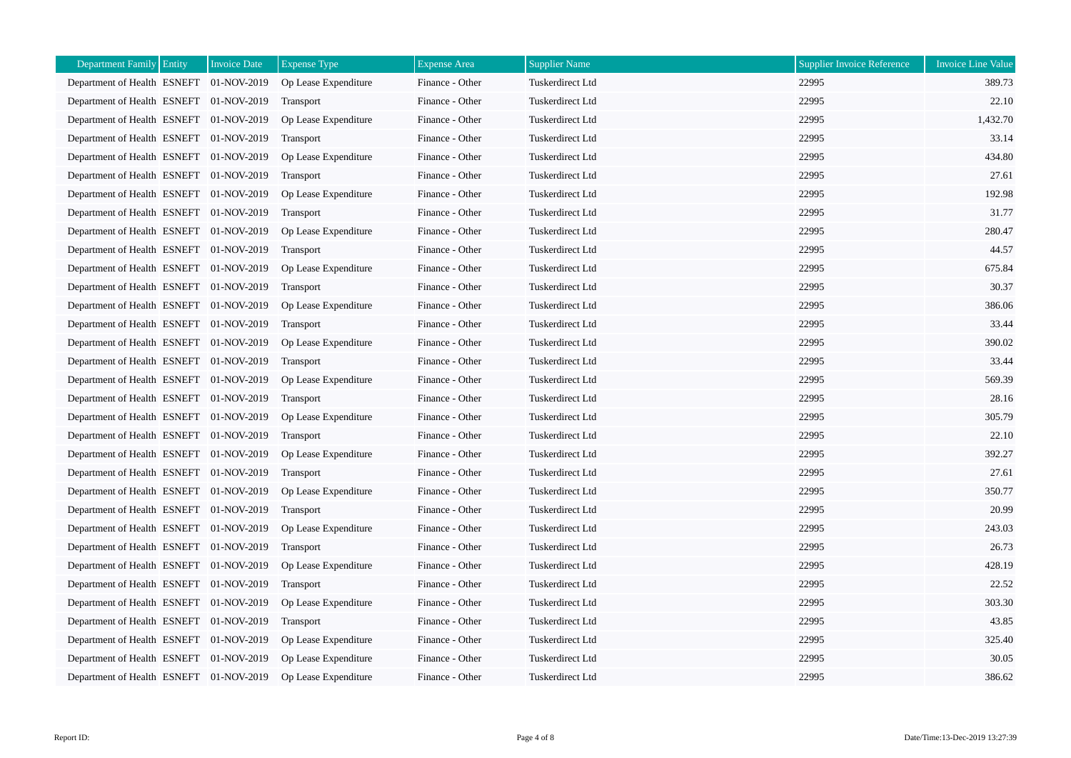| <b>Department Family Entity</b>         | <b>Invoice Date</b> | <b>Expense Type</b>  | <b>Expense Area</b> | <b>Supplier Name</b> | <b>Supplier Invoice Reference</b> | Invoice Line Value |
|-----------------------------------------|---------------------|----------------------|---------------------|----------------------|-----------------------------------|--------------------|
| Department of Health ESNEFT 01-NOV-2019 |                     | Op Lease Expenditure | Finance - Other     | Tuskerdirect Ltd     | 22995                             | 389.73             |
| Department of Health ESNEFT 01-NOV-2019 |                     | Transport            | Finance - Other     | Tuskerdirect Ltd     | 22995                             | 22.10              |
| Department of Health ESNEFT 01-NOV-2019 |                     | Op Lease Expenditure | Finance - Other     | Tuskerdirect Ltd     | 22995                             | 1,432.70           |
| Department of Health ESNEFT 01-NOV-2019 |                     | <b>Transport</b>     | Finance - Other     | Tuskerdirect Ltd     | 22995                             | 33.14              |
| Department of Health ESNEFT 01-NOV-2019 |                     | Op Lease Expenditure | Finance - Other     | Tuskerdirect Ltd     | 22995                             | 434.80             |
| Department of Health ESNEFT 01-NOV-2019 |                     | Transport            | Finance - Other     | Tuskerdirect Ltd     | 22995                             | 27.61              |
| Department of Health ESNEFT 01-NOV-2019 |                     | Op Lease Expenditure | Finance - Other     | Tuskerdirect Ltd     | 22995                             | 192.98             |
| Department of Health ESNEFT 01-NOV-2019 |                     | Transport            | Finance - Other     | Tuskerdirect Ltd     | 22995                             | 31.77              |
| Department of Health ESNEFT 01-NOV-2019 |                     | Op Lease Expenditure | Finance - Other     | Tuskerdirect Ltd     | 22995                             | 280.47             |
| Department of Health ESNEFT 01-NOV-2019 |                     | Transport            | Finance - Other     | Tuskerdirect Ltd     | 22995                             | 44.57              |
| Department of Health ESNEFT 01-NOV-2019 |                     | Op Lease Expenditure | Finance - Other     | Tuskerdirect Ltd     | 22995                             | 675.84             |
| Department of Health ESNEFT 01-NOV-2019 |                     | Transport            | Finance - Other     | Tuskerdirect Ltd     | 22995                             | 30.37              |
| Department of Health ESNEFT 01-NOV-2019 |                     | Op Lease Expenditure | Finance - Other     | Tuskerdirect Ltd     | 22995                             | 386.06             |
| Department of Health ESNEFT 01-NOV-2019 |                     | Transport            | Finance - Other     | Tuskerdirect Ltd     | 22995                             | 33.44              |
| Department of Health ESNEFT 01-NOV-2019 |                     | Op Lease Expenditure | Finance - Other     | Tuskerdirect Ltd     | 22995                             | 390.02             |
| Department of Health ESNEFT 01-NOV-2019 |                     | Transport            | Finance - Other     | Tuskerdirect Ltd     | 22995                             | 33.44              |
| Department of Health ESNEFT 01-NOV-2019 |                     | Op Lease Expenditure | Finance - Other     | Tuskerdirect Ltd     | 22995                             | 569.39             |
| Department of Health ESNEFT 01-NOV-2019 |                     | Transport            | Finance - Other     | Tuskerdirect Ltd     | 22995                             | 28.16              |
| Department of Health ESNEFT 01-NOV-2019 |                     | Op Lease Expenditure | Finance - Other     | Tuskerdirect Ltd     | 22995                             | 305.79             |
| Department of Health ESNEFT 01-NOV-2019 |                     | Transport            | Finance - Other     | Tuskerdirect Ltd     | 22995                             | 22.10              |
| Department of Health ESNEFT 01-NOV-2019 |                     | Op Lease Expenditure | Finance - Other     | Tuskerdirect Ltd     | 22995                             | 392.27             |
| Department of Health ESNEFT 01-NOV-2019 |                     | Transport            | Finance - Other     | Tuskerdirect Ltd     | 22995                             | 27.61              |
| Department of Health ESNEFT 01-NOV-2019 |                     | Op Lease Expenditure | Finance - Other     | Tuskerdirect Ltd     | 22995                             | 350.77             |
| Department of Health ESNEFT 01-NOV-2019 |                     | Transport            | Finance - Other     | Tuskerdirect Ltd     | 22995                             | 20.99              |
| Department of Health ESNEFT 01-NOV-2019 |                     | Op Lease Expenditure | Finance - Other     | Tuskerdirect Ltd     | 22995                             | 243.03             |
| Department of Health ESNEFT 01-NOV-2019 |                     | Transport            | Finance - Other     | Tuskerdirect Ltd     | 22995                             | 26.73              |
| Department of Health ESNEFT 01-NOV-2019 |                     | Op Lease Expenditure | Finance - Other     | Tuskerdirect Ltd     | 22995                             | 428.19             |
| Department of Health ESNEFT 01-NOV-2019 |                     | <b>Transport</b>     | Finance - Other     | Tuskerdirect Ltd     | 22995                             | 22.52              |
| Department of Health ESNEFT 01-NOV-2019 |                     | Op Lease Expenditure | Finance - Other     | Tuskerdirect Ltd     | 22995                             | 303.30             |
| Department of Health ESNEFT 01-NOV-2019 |                     | Transport            | Finance - Other     | Tuskerdirect Ltd     | 22995                             | 43.85              |
| Department of Health ESNEFT 01-NOV-2019 |                     | Op Lease Expenditure | Finance - Other     | Tuskerdirect Ltd     | 22995                             | 325.40             |
| Department of Health ESNEFT 01-NOV-2019 |                     | Op Lease Expenditure | Finance - Other     | Tuskerdirect Ltd     | 22995                             | 30.05              |
| Department of Health ESNEFT 01-NOV-2019 |                     | Op Lease Expenditure | Finance - Other     | Tuskerdirect Ltd     | 22995                             | 386.62             |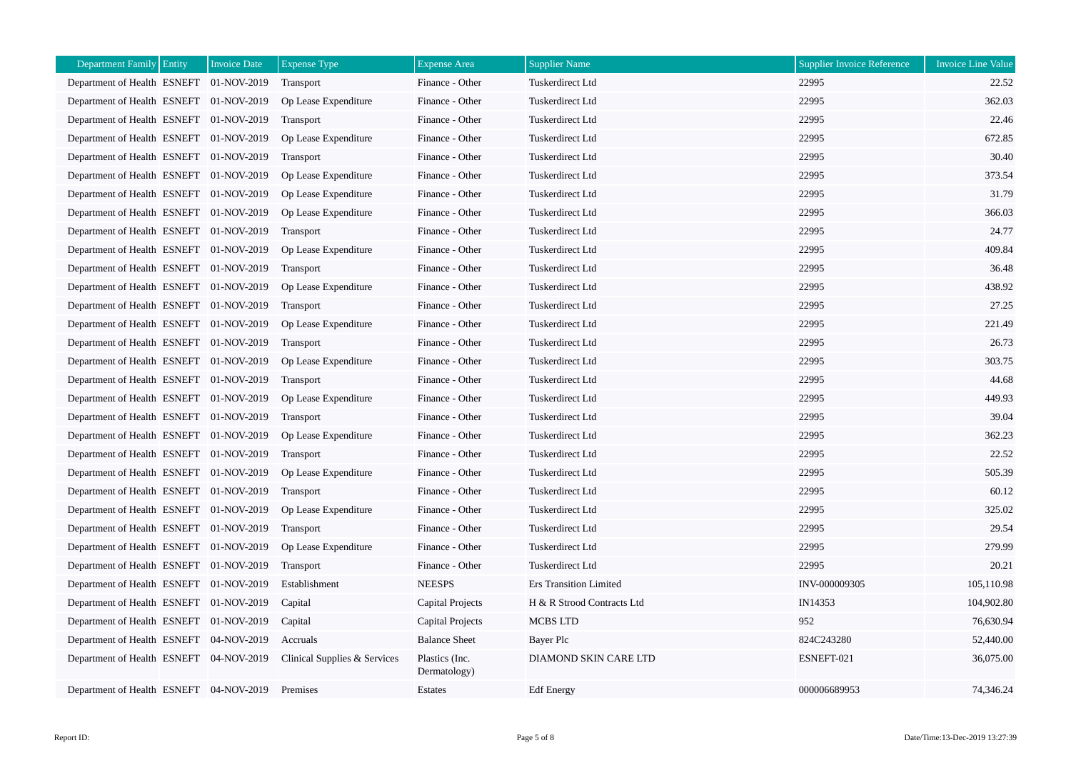| Department Family Entity                | <b>Invoice Date</b> | <b>Expense Type</b>          | <b>Expense Area</b>            | <b>Supplier Name</b>          | <b>Supplier Invoice Reference</b> | Invoice Line Value |
|-----------------------------------------|---------------------|------------------------------|--------------------------------|-------------------------------|-----------------------------------|--------------------|
| Department of Health ESNEFT 01-NOV-2019 |                     | Transport                    | Finance - Other                | Tuskerdirect Ltd              | 22995                             | 22.52              |
| Department of Health ESNEFT 01-NOV-2019 |                     | Op Lease Expenditure         | Finance - Other                | Tuskerdirect Ltd              | 22995                             | 362.03             |
| Department of Health ESNEFT 01-NOV-2019 |                     | Transport                    | Finance - Other                | Tuskerdirect Ltd              | 22995                             | 22.46              |
| Department of Health ESNEFT 01-NOV-2019 |                     | Op Lease Expenditure         | Finance - Other                | Tuskerdirect Ltd              | 22995                             | 672.85             |
| Department of Health ESNEFT 01-NOV-2019 |                     | <b>Transport</b>             | Finance - Other                | Tuskerdirect Ltd              | 22995                             | 30.40              |
| Department of Health ESNEFT 01-NOV-2019 |                     | Op Lease Expenditure         | Finance - Other                | Tuskerdirect Ltd              | 22995                             | 373.54             |
| Department of Health ESNEFT 01-NOV-2019 |                     | Op Lease Expenditure         | Finance - Other                | Tuskerdirect Ltd              | 22995                             | 31.79              |
| Department of Health ESNEFT 01-NOV-2019 |                     | Op Lease Expenditure         | Finance - Other                | Tuskerdirect Ltd              | 22995                             | 366.03             |
| Department of Health ESNEFT 01-NOV-2019 |                     | Transport                    | Finance - Other                | Tuskerdirect Ltd              | 22995                             | 24.77              |
| Department of Health ESNEFT 01-NOV-2019 |                     | Op Lease Expenditure         | Finance - Other                | <b>Tuskerdirect Ltd</b>       | 22995                             | 409.84             |
| Department of Health ESNEFT 01-NOV-2019 |                     | Transport                    | Finance - Other                | Tuskerdirect Ltd              | 22995                             | 36.48              |
| Department of Health ESNEFT 01-NOV-2019 |                     | Op Lease Expenditure         | Finance - Other                | Tuskerdirect Ltd              | 22995                             | 438.92             |
| Department of Health ESNEFT 01-NOV-2019 |                     | Transport                    | Finance - Other                | Tuskerdirect Ltd              | 22995                             | 27.25              |
| Department of Health ESNEFT 01-NOV-2019 |                     | Op Lease Expenditure         | Finance - Other                | Tuskerdirect Ltd              | 22995                             | 221.49             |
| Department of Health ESNEFT 01-NOV-2019 |                     | Transport                    | Finance - Other                | Tuskerdirect Ltd              | 22995                             | 26.73              |
| Department of Health ESNEFT 01-NOV-2019 |                     | Op Lease Expenditure         | Finance - Other                | Tuskerdirect Ltd              | 22995                             | 303.75             |
| Department of Health ESNEFT 01-NOV-2019 |                     | Transport                    | Finance - Other                | Tuskerdirect Ltd              | 22995                             | 44.68              |
| Department of Health ESNEFT 01-NOV-2019 |                     | Op Lease Expenditure         | Finance - Other                | Tuskerdirect Ltd              | 22995                             | 449.93             |
| Department of Health ESNEFT 01-NOV-2019 |                     | Transport                    | Finance - Other                | Tuskerdirect Ltd              | 22995                             | 39.04              |
| Department of Health ESNEFT 01-NOV-2019 |                     | Op Lease Expenditure         | Finance - Other                | Tuskerdirect Ltd              | 22995                             | 362.23             |
| Department of Health ESNEFT 01-NOV-2019 |                     | Transport                    | Finance - Other                | Tuskerdirect Ltd              | 22995                             | 22.52              |
| Department of Health ESNEFT 01-NOV-2019 |                     | Op Lease Expenditure         | Finance - Other                | <b>Tuskerdirect Ltd</b>       | 22995                             | 505.39             |
| Department of Health ESNEFT 01-NOV-2019 |                     | Transport                    | Finance - Other                | Tuskerdirect Ltd              | 22995                             | 60.12              |
| Department of Health ESNEFT 01-NOV-2019 |                     | Op Lease Expenditure         | Finance - Other                | Tuskerdirect Ltd              | 22995                             | 325.02             |
| Department of Health ESNEFT 01-NOV-2019 |                     | Transport                    | Finance - Other                | <b>Tuskerdirect Ltd</b>       | 22995                             | 29.54              |
| Department of Health ESNEFT 01-NOV-2019 |                     | Op Lease Expenditure         | Finance - Other                | Tuskerdirect Ltd              | 22995                             | 279.99             |
| Department of Health ESNEFT 01-NOV-2019 |                     | Transport                    | Finance - Other                | <b>Tuskerdirect Ltd</b>       | 22995                             | 20.21              |
| Department of Health ESNEFT 01-NOV-2019 |                     | Establishment                | <b>NEESPS</b>                  | <b>Ers Transition Limited</b> | INV-000009305                     | 105,110.98         |
| Department of Health ESNEFT 01-NOV-2019 |                     | Capital                      | <b>Capital Projects</b>        | H & R Strood Contracts Ltd    | IN14353                           | 104,902.80         |
| Department of Health ESNEFT 01-NOV-2019 |                     | Capital                      | Capital Projects               | MCBS LTD                      | 952                               | 76,630.94          |
| Department of Health ESNEFT 04-NOV-2019 |                     | Accruals                     | <b>Balance Sheet</b>           | Bayer Plc                     | 824C243280                        | 52,440.00          |
| Department of Health ESNEFT 04-NOV-2019 |                     | Clinical Supplies & Services | Plastics (Inc.<br>Dermatology) | DIAMOND SKIN CARE LTD         | ESNEFT-021                        | 36,075.00          |
| Department of Health ESNEFT             | 04-NOV-2019         | Premises                     | Estates                        | <b>Edf</b> Energy             | 000006689953                      | 74,346.24          |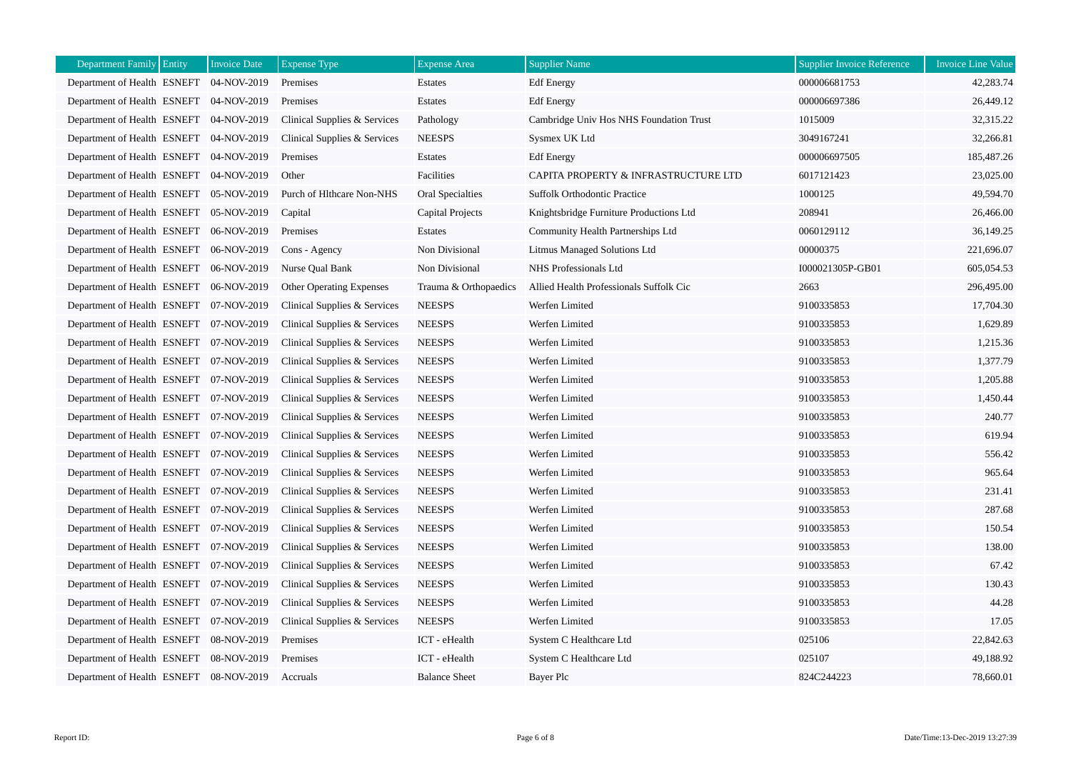| <b>Department Family Entity</b>         | <b>Invoice Date</b> | <b>Expense Type</b>             | <b>Expense Area</b>     | <b>Supplier Name</b>                    | <b>Supplier Invoice Reference</b> | <b>Invoice Line Value</b> |
|-----------------------------------------|---------------------|---------------------------------|-------------------------|-----------------------------------------|-----------------------------------|---------------------------|
| Department of Health ESNEFT             | 04-NOV-2019         | Premises                        | Estates                 | <b>Edf</b> Energy                       | 000006681753                      | 42,283.74                 |
| Department of Health ESNEFT 04-NOV-2019 |                     | Premises                        | Estates                 | <b>Edf</b> Energy                       | 000006697386                      | 26,449.12                 |
| Department of Health ESNEFT 04-NOV-2019 |                     | Clinical Supplies & Services    | Pathology               | Cambridge Univ Hos NHS Foundation Trust | 1015009                           | 32,315.22                 |
| Department of Health ESNEFT 04-NOV-2019 |                     | Clinical Supplies & Services    | <b>NEESPS</b>           | Sysmex UK Ltd                           | 3049167241                        | 32,266.81                 |
| Department of Health ESNEFT 04-NOV-2019 |                     | Premises                        | Estates                 | <b>Edf</b> Energy                       | 000006697505                      | 185,487.26                |
| Department of Health ESNEFT 04-NOV-2019 |                     | Other                           | Facilities              | CAPITA PROPERTY & INFRASTRUCTURE LTD    | 6017121423                        | 23,025.00                 |
| Department of Health ESNEFT 05-NOV-2019 |                     | Purch of Hlthcare Non-NHS       | <b>Oral Specialties</b> | Suffolk Orthodontic Practice            | 1000125                           | 49,594.70                 |
| Department of Health ESNEFT 05-NOV-2019 |                     | Capital                         | Capital Projects        | Knightsbridge Furniture Productions Ltd | 208941                            | 26,466.00                 |
| Department of Health ESNEFT 06-NOV-2019 |                     | Premises                        | Estates                 | Community Health Partnerships Ltd       | 0060129112                        | 36,149.25                 |
| Department of Health ESNEFT 06-NOV-2019 |                     | Cons - Agency                   | Non Divisional          | <b>Litmus Managed Solutions Ltd</b>     | 00000375                          | 221,696.07                |
| Department of Health ESNEFT 06-NOV-2019 |                     | Nurse Qual Bank                 | Non Divisional          | NHS Professionals Ltd                   | I000021305P-GB01                  | 605,054.53                |
| Department of Health ESNEFT 06-NOV-2019 |                     | <b>Other Operating Expenses</b> | Trauma & Orthopaedics   | Allied Health Professionals Suffolk Cic | 2663                              | 296,495.00                |
| Department of Health ESNEFT 07-NOV-2019 |                     | Clinical Supplies & Services    | <b>NEESPS</b>           | Werfen Limited                          | 9100335853                        | 17,704.30                 |
| Department of Health ESNEFT 07-NOV-2019 |                     | Clinical Supplies & Services    | <b>NEESPS</b>           | Werfen Limited                          | 9100335853                        | 1,629.89                  |
| Department of Health ESNEFT 07-NOV-2019 |                     | Clinical Supplies & Services    | <b>NEESPS</b>           | Werfen Limited                          | 9100335853                        | 1,215.36                  |
| Department of Health ESNEFT 07-NOV-2019 |                     | Clinical Supplies & Services    | <b>NEESPS</b>           | Werfen Limited                          | 9100335853                        | 1,377.79                  |
| Department of Health ESNEFT             | 07-NOV-2019         | Clinical Supplies & Services    | <b>NEESPS</b>           | Werfen Limited                          | 9100335853                        | 1,205.88                  |
| Department of Health ESNEFT 07-NOV-2019 |                     | Clinical Supplies & Services    | <b>NEESPS</b>           | Werfen Limited                          | 9100335853                        | 1,450.44                  |
| Department of Health ESNEFT 07-NOV-2019 |                     | Clinical Supplies & Services    | <b>NEESPS</b>           | Werfen Limited                          | 9100335853                        | 240.77                    |
| Department of Health ESNEFT 07-NOV-2019 |                     | Clinical Supplies & Services    | <b>NEESPS</b>           | Werfen Limited                          | 9100335853                        | 619.94                    |
| Department of Health ESNEFT 07-NOV-2019 |                     | Clinical Supplies & Services    | <b>NEESPS</b>           | Werfen Limited                          | 9100335853                        | 556.42                    |
| Department of Health ESNEFT 07-NOV-2019 |                     | Clinical Supplies & Services    | <b>NEESPS</b>           | Werfen Limited                          | 9100335853                        | 965.64                    |
| Department of Health ESNEFT 07-NOV-2019 |                     | Clinical Supplies & Services    | <b>NEESPS</b>           | Werfen Limited                          | 9100335853                        | 231.41                    |
| Department of Health ESNEFT 07-NOV-2019 |                     | Clinical Supplies & Services    | <b>NEESPS</b>           | Werfen Limited                          | 9100335853                        | 287.68                    |
| Department of Health ESNEFT 07-NOV-2019 |                     | Clinical Supplies & Services    | <b>NEESPS</b>           | Werfen Limited                          | 9100335853                        | 150.54                    |
| Department of Health ESNEFT 07-NOV-2019 |                     | Clinical Supplies & Services    | <b>NEESPS</b>           | Werfen Limited                          | 9100335853                        | 138.00                    |
| Department of Health ESNEFT 07-NOV-2019 |                     | Clinical Supplies & Services    | <b>NEESPS</b>           | Werfen Limited                          | 9100335853                        | 67.42                     |
| Department of Health ESNEFT 07-NOV-2019 |                     | Clinical Supplies & Services    | <b>NEESPS</b>           | Werfen Limited                          | 9100335853                        | 130.43                    |
| Department of Health ESNEFT 07-NOV-2019 |                     | Clinical Supplies & Services    | <b>NEESPS</b>           | Werfen Limited                          | 9100335853                        | 44.28                     |
| Department of Health ESNEFT 07-NOV-2019 |                     | Clinical Supplies & Services    | <b>NEESPS</b>           | Werfen Limited                          | 9100335853                        | 17.05                     |
| Department of Health ESNEFT 08-NOV-2019 |                     | Premises                        | ICT - eHealth           | System C Healthcare Ltd                 | 025106                            | 22,842.63                 |
| Department of Health ESNEFT             | 08-NOV-2019         | Premises                        | ICT - eHealth           | System C Healthcare Ltd                 | 025107                            | 49,188.92                 |
| Department of Health ESNEFT 08-NOV-2019 |                     | Accruals                        | <b>Balance Sheet</b>    | <b>Bayer Plc</b>                        | 824C244223                        | 78,660.01                 |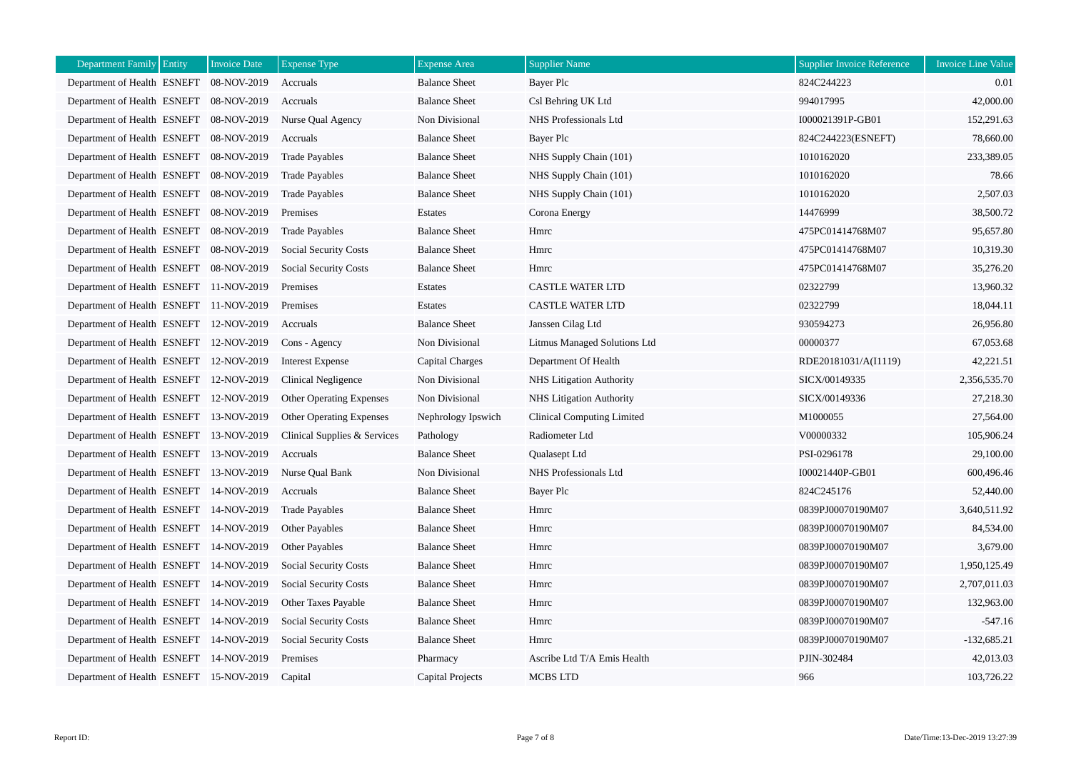| <b>Department Family Entity</b>         | <b>Invoice Date</b> | <b>Expense Type</b>             | <b>Expense</b> Area  | <b>Supplier Name</b>            | <b>Supplier Invoice Reference</b> | <b>Invoice Line Value</b> |
|-----------------------------------------|---------------------|---------------------------------|----------------------|---------------------------------|-----------------------------------|---------------------------|
| Department of Health ESNEFT             | 08-NOV-2019         | Accruals                        | <b>Balance Sheet</b> | Bayer Plc                       | 824C244223                        | 0.01                      |
| Department of Health ESNEFT 08-NOV-2019 |                     | Accruals                        | <b>Balance Sheet</b> | Csl Behring UK Ltd              | 994017995                         | 42,000.00                 |
| Department of Health ESNEFT 08-NOV-2019 |                     | Nurse Qual Agency               | Non Divisional       | NHS Professionals Ltd           | I000021391P-GB01                  | 152,291.63                |
| Department of Health ESNEFT             | 08-NOV-2019         | Accruals                        | <b>Balance Sheet</b> | Bayer Plc                       | 824C244223(ESNEFT)                | 78,660.00                 |
| Department of Health ESNEFT             | 08-NOV-2019         | <b>Trade Payables</b>           | <b>Balance Sheet</b> | NHS Supply Chain (101)          | 1010162020                        | 233,389.05                |
| Department of Health ESNEFT             | 08-NOV-2019         | <b>Trade Payables</b>           | <b>Balance Sheet</b> | NHS Supply Chain (101)          | 1010162020                        | 78.66                     |
| Department of Health ESNEFT             | 08-NOV-2019         | <b>Trade Payables</b>           | <b>Balance Sheet</b> | NHS Supply Chain (101)          | 1010162020                        | 2,507.03                  |
| Department of Health ESNEFT             | 08-NOV-2019         | Premises                        | Estates              | Corona Energy                   | 14476999                          | 38,500.72                 |
| Department of Health ESNEFT             | 08-NOV-2019         | <b>Trade Payables</b>           | <b>Balance Sheet</b> | Hmrc                            | 475PC01414768M07                  | 95,657.80                 |
| Department of Health ESNEFT 08-NOV-2019 |                     | <b>Social Security Costs</b>    | <b>Balance Sheet</b> | Hmrc                            | 475PC01414768M07                  | 10,319.30                 |
| Department of Health ESNEFT 08-NOV-2019 |                     | <b>Social Security Costs</b>    | <b>Balance Sheet</b> | Hmrc                            | 475PC01414768M07                  | 35,276.20                 |
| Department of Health ESNEFT 11-NOV-2019 |                     | Premises                        | Estates              | <b>CASTLE WATER LTD</b>         | 02322799                          | 13,960.32                 |
| Department of Health ESNEFT 11-NOV-2019 |                     | Premises                        | Estates              | <b>CASTLE WATER LTD</b>         | 02322799                          | 18,044.11                 |
| Department of Health ESNEFT 12-NOV-2019 |                     | Accruals                        | <b>Balance Sheet</b> | Janssen Cilag Ltd               | 930594273                         | 26,956.80                 |
| Department of Health ESNEFT 12-NOV-2019 |                     | Cons - Agency                   | Non Divisional       | Litmus Managed Solutions Ltd    | 00000377                          | 67,053.68                 |
| Department of Health ESNEFT 12-NOV-2019 |                     | <b>Interest Expense</b>         | Capital Charges      | Department Of Health            | RDE20181031/A(I1119)              | 42,221.51                 |
| Department of Health ESNEFT             | 12-NOV-2019         | Clinical Negligence             | Non Divisional       | <b>NHS</b> Litigation Authority | SICX/00149335                     | 2,356,535.70              |
| Department of Health ESNEFT             | 12-NOV-2019         | <b>Other Operating Expenses</b> | Non Divisional       | NHS Litigation Authority        | SICX/00149336                     | 27,218.30                 |
| Department of Health ESNEFT 13-NOV-2019 |                     | Other Operating Expenses        | Nephrology Ipswich   | Clinical Computing Limited      | M1000055                          | 27,564.00                 |
| Department of Health ESNEFT 13-NOV-2019 |                     | Clinical Supplies & Services    | Pathology            | Radiometer Ltd                  | V00000332                         | 105,906.24                |
| Department of Health ESNEFT 13-NOV-2019 |                     | Accruals                        | <b>Balance Sheet</b> | Qualasept Ltd                   | PSI-0296178                       | 29,100.00                 |
| Department of Health ESNEFT             | 13-NOV-2019         | Nurse Oual Bank                 | Non Divisional       | NHS Professionals Ltd           | I00021440P-GB01                   | 600,496.46                |
| Department of Health ESNEFT 14-NOV-2019 |                     | Accruals                        | <b>Balance Sheet</b> | Bayer Plc                       | 824C245176                        | 52,440.00                 |
| Department of Health ESNEFT 14-NOV-2019 |                     | <b>Trade Payables</b>           | <b>Balance Sheet</b> | Hmrc                            | 0839PJ00070190M07                 | 3,640,511.92              |
| Department of Health ESNEFT 14-NOV-2019 |                     | Other Payables                  | <b>Balance Sheet</b> | Hmrc                            | 0839PJ00070190M07                 | 84,534.00                 |
| Department of Health ESNEFT 14-NOV-2019 |                     | Other Payables                  | <b>Balance Sheet</b> | Hmrc                            | 0839PJ00070190M07                 | 3,679.00                  |
| Department of Health ESNEFT 14-NOV-2019 |                     | <b>Social Security Costs</b>    | <b>Balance Sheet</b> | Hmrc                            | 0839PJ00070190M07                 | 1,950,125.49              |
| Department of Health ESNEFT 14-NOV-2019 |                     | <b>Social Security Costs</b>    | <b>Balance Sheet</b> | Hmrc                            | 0839PJ00070190M07                 | 2,707,011.03              |
| Department of Health ESNEFT 14-NOV-2019 |                     | Other Taxes Payable             | <b>Balance Sheet</b> | Hmrc                            | 0839PJ00070190M07                 | 132,963.00                |
| Department of Health ESNEFT 14-NOV-2019 |                     | <b>Social Security Costs</b>    | <b>Balance Sheet</b> | Hmrc                            | 0839PJ00070190M07                 | $-547.16$                 |
| Department of Health ESNEFT 14-NOV-2019 |                     | <b>Social Security Costs</b>    | <b>Balance Sheet</b> | Hmrc                            | 0839PJ00070190M07                 | $-132,685.21$             |
| Department of Health ESNEFT 14-NOV-2019 |                     | Premises                        | Pharmacy             | Ascribe Ltd T/A Emis Health     | PJIN-302484                       | 42,013.03                 |
| Department of Health ESNEFT 15-NOV-2019 |                     | Capital                         | Capital Projects     | MCBS LTD                        | 966                               | 103,726.22                |